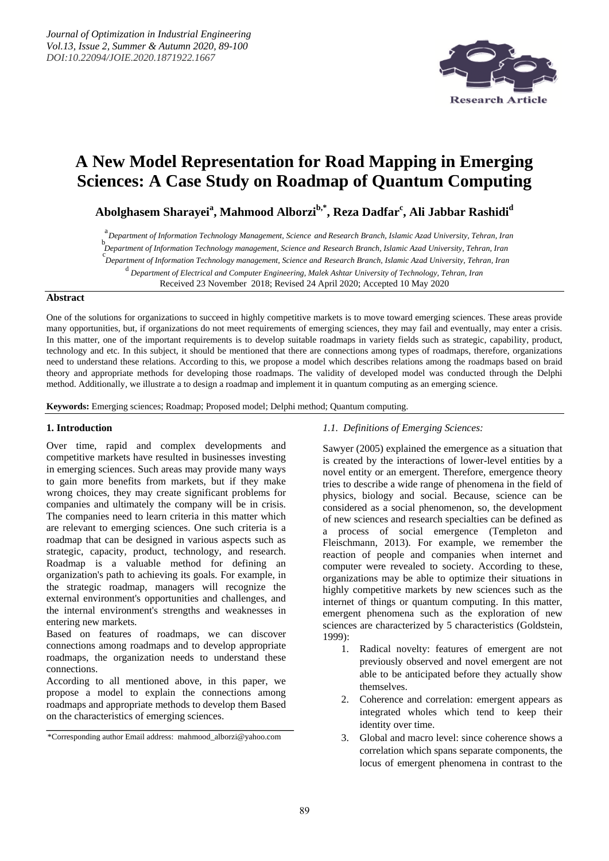

# **A New Model Representation for Road Mapping in Emerging Sciences: A Case Study on Roadmap of Quantum Computing**

**Abolghasem Sharayei<sup>a</sup> , Mahmood Alborzib,\*, Reza Dadfar<sup>c</sup> , Ali Jabbar Rashidi<sup>d</sup>**

<sup>a</sup>*Department of Information Technology Management, Science and Research Branch, Islamic Azad University, Tehran, Iran* b *Department of Information Technology management, Science and Research Branch, Islamic Azad University, Tehran, Iran* c *Department of Information Technology management, Science and Research Branch, Islamic Azad University, Tehran, Iran*d *Department of Electrical and Computer Engineering, Malek Ashtar University of Technology, Tehran, Iran* Received 23 November 2018; Revised 24 April 2020; Accepted 10 May 2020

#### **Abstract**

One of the solutions for organizations to succeed in highly competitive markets is to move toward emerging sciences. These areas provide many opportunities, but, if organizations do not meet requirements of emerging sciences, they may fail and eventually, may enter a crisis. In this matter, one of the important requirements is to develop suitable roadmaps in variety fields such as strategic, capability, product, technology and etc. In this subject, it should be mentioned that there are connections among types of roadmaps, therefore, organizations need to understand these relations. According to this, we propose a model which describes relations among the roadmaps based on braid theory and appropriate methods for developing those roadmaps. The validity of developed model was conducted through the Delphi method. Additionally, we illustrate a to design a roadmap and implement it in quantum computing as an emerging science.

**Keywords:** Emerging sciences; Roadmap; Proposed model; Delphi method; Quantum computing.

#### **1. Introduction**

Over time, rapid and complex developments and competitive markets have resulted in businesses investing in emerging sciences. Such areas may provide many ways to gain more benefits from markets, but if they make wrong choices, they may create significant problems for companies and ultimately the company will be in crisis. The companies need to learn criteria in this matter which are relevant to emerging sciences. One such criteria is a roadmap that can be designed in various aspects such as strategic, capacity, product, technology, and research. Roadmap is a valuable method for defining an organization's path to achieving its goals. For example, in the strategic roadmap, managers will recognize the external environment's opportunities and challenges, and the internal environment's strengths and weaknesses in entering new markets.

Based on features of roadmaps, we can discover connections among roadmaps and to develop appropriate roadmaps, the organization needs to understand these connections.

According to all mentioned above, in this paper, we propose a model to explain the connections among roadmaps and appropriate methods to develop them Based on the characteristics of emerging sciences.

\*Corresponding author Email address: mahmood\_alborzi@yahoo.com

#### *1.1. Definitions of Emerging Sciences:*

Sawyer (2005) explained the emergence as a situation that is created by the interactions of lower-level entities by a novel entity or an emergent. Therefore, emergence theory tries to describe a wide range of phenomena in the field of physics, biology and social. Because, science can be considered as a social phenomenon, so, the development of new sciences and research specialties can be defined as a process of social emergence (Templeton and Fleischmann, 2013). For example, we remember the reaction of people and companies when internet and computer were revealed to society. According to these, organizations may be able to optimize their situations in highly competitive markets by new sciences such as the internet of things or quantum computing. In this matter, emergent phenomena such as the exploration of new sciences are characterized by 5 characteristics (Goldstein, 1999):

- 1. Radical novelty: features of emergent are not previously observed and novel emergent are not able to be anticipated before they actually show themselves.
- 2. Coherence and correlation: emergent appears as integrated wholes which tend to keep their identity over time.
- 3. Global and macro level: since coherence shows a correlation which spans separate components, the locus of emergent phenomena in contrast to the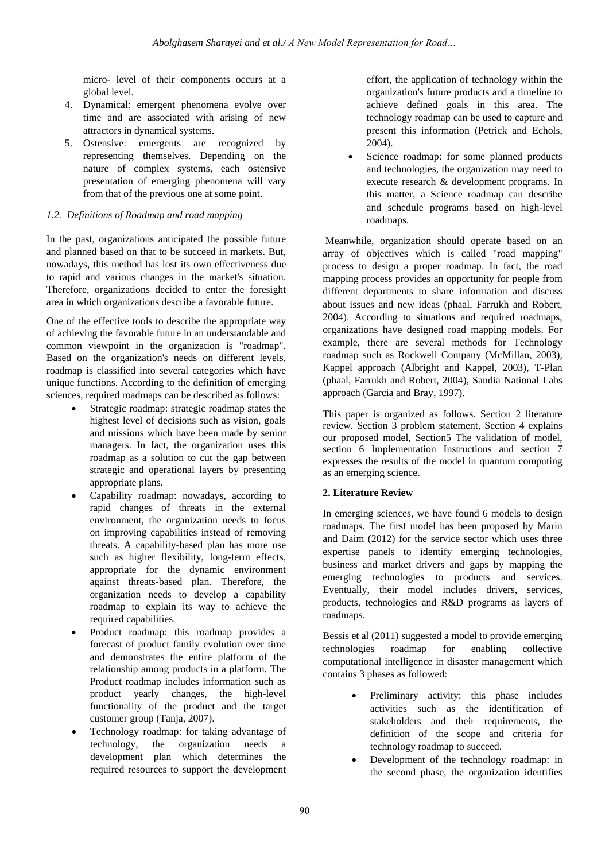micro- level of their components occurs at a global level.

- 4. Dynamical: emergent phenomena evolve over time and are associated with arising of new attractors in dynamical systems.
- 5. Ostensive: emergents are recognized by representing themselves. Depending on the nature of complex systems, each ostensive presentation of emerging phenomena will vary from that of the previous one at some point.

# *1.2. Definitions of Roadmap and road mapping*

In the past, organizations anticipated the possible future and planned based on that to be succeed in markets. But, nowadays, this method has lost its own effectiveness due to rapid and various changes in the market's situation. Therefore, organizations decided to enter the foresight area in which organizations describe a favorable future.

One of the effective tools to describe the appropriate way of achieving the favorable future in an understandable and common viewpoint in the organization is "roadmap". Based on the organization's needs on different levels, roadmap is classified into several categories which have unique functions. According to the definition of emerging sciences, required roadmaps can be described as follows:

- Strategic roadmap: strategic roadmap states the highest level of decisions such as vision, goals and missions which have been made by senior managers. In fact, the organization uses this roadmap as a solution to cut the gap between strategic and operational layers by presenting appropriate plans.
- Capability roadmap: nowadays, according to rapid changes of threats in the external environment, the organization needs to focus on improving capabilities instead of removing threats. A capability-based plan has more use such as higher flexibility, long-term effects, appropriate for the dynamic environment against threats-based plan. Therefore, the organization needs to develop a capability roadmap to explain its way to achieve the required capabilities.
- Product roadmap: this roadmap provides a forecast of product family evolution over time and demonstrates the entire platform of the relationship among products in a platform. The Product roadmap includes information such as product yearly changes, the high-level functionality of the product and the target customer group (Tanja, 2007).
- Technology roadmap: for taking advantage of technology, the organization needs a development plan which determines the required resources to support the development

effort, the application of technology within the organization's future products and a timeline to achieve defined goals in this area. The technology roadmap can be used to capture and present this information (Petrick and Echols, 2004).

 Science roadmap: for some planned products and technologies, the organization may need to execute research & development programs. In this matter, a Science roadmap can describe and schedule programs based on high-level roadmaps.

Meanwhile, organization should operate based on an array of objectives which is called "road mapping" process to design a proper roadmap. In fact, the road mapping process provides an opportunity for people from different departments to share information and discuss about issues and new ideas (phaal, Farrukh and Robert, 2004). According to situations and required roadmaps, organizations have designed road mapping models. For example, there are several methods for Technology roadmap such as Rockwell Company (McMillan, 2003), Kappel approach (Albright and Kappel, 2003), T-Plan (phaal, Farrukh and Robert, 2004), Sandia National Labs approach (Garcia and Bray, 1997).

This paper is organized as follows. Section 2 literature review. Section 3 problem statement, Section 4 explains our proposed model, Section5 The validation of model, section 6 Implementation Instructions and section 7 expresses the results of the model in quantum computing as an emerging science.

# **2. Literature Review**

In emerging sciences, we have found 6 models to design roadmaps. The first model has been proposed by Marin and Daim (2012) for the service sector which uses three expertise panels to identify emerging technologies, business and market drivers and gaps by mapping the emerging technologies to products and services. Eventually, their model includes drivers, services, products, technologies and R&D programs as layers of roadmaps.

Bessis et al (2011) suggested a model to provide emerging technologies roadmap for enabling collective computational intelligence in disaster management which contains 3 phases as followed:

- Preliminary activity: this phase includes activities such as the identification of stakeholders and their requirements, the definition of the scope and criteria for technology roadmap to succeed.
- Development of the technology roadmap: in the second phase, the organization identifies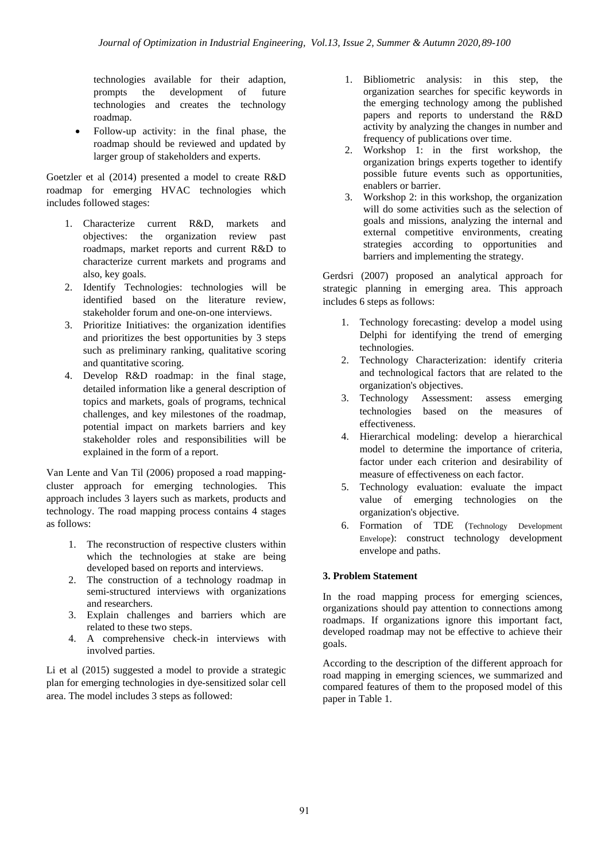technologies available for their adaption, prompts the development of future technologies and creates the technology roadmap.

• Follow-up activity: in the final phase, the roadmap should be reviewed and updated by larger group of stakeholders and experts.

Goetzler et al (2014) presented a model to create R&D roadmap for emerging HVAC technologies which includes followed stages:

- 1. Characterize current R&D, markets and objectives: the organization review past roadmaps, market reports and current R&D to characterize current markets and programs and also, key goals.
- 2. Identify Technologies: technologies will be identified based on the literature review, stakeholder forum and one-on-one interviews.
- 3. Prioritize Initiatives: the organization identifies and prioritizes the best opportunities by 3 steps such as preliminary ranking, qualitative scoring and quantitative scoring.
- 4. Develop R&D roadmap: in the final stage, detailed information like a general description of topics and markets, goals of programs, technical challenges, and key milestones of the roadmap, potential impact on markets barriers and key stakeholder roles and responsibilities will be explained in the form of a report.

Van Lente and Van Til (2006) proposed a road mappingcluster approach for emerging technologies. This approach includes 3 layers such as markets, products and technology. The road mapping process contains 4 stages as follows:

- 1. The reconstruction of respective clusters within which the technologies at stake are being developed based on reports and interviews.
- 2. The construction of a technology roadmap in semi-structured interviews with organizations and researchers.
- 3. Explain challenges and barriers which are related to these two steps.
- 4. A comprehensive check-in interviews with involved parties.

Li et al (2015) suggested a model to provide a strategic plan for emerging technologies in dye-sensitized solar cell area. The model includes 3 steps as followed:

- 1. Bibliometric analysis: in this step, the organization searches for specific keywords in the emerging technology among the published papers and reports to understand the R&D activity by analyzing the changes in number and frequency of publications over time.
- 2. Workshop 1: in the first workshop, the organization brings experts together to identify possible future events such as opportunities, enablers or barrier.
- 3. Workshop 2: in this workshop, the organization will do some activities such as the selection of goals and missions, analyzing the internal and external competitive environments, creating strategies according to opportunities and barriers and implementing the strategy.

Gerdsri (2007) proposed an analytical approach for strategic planning in emerging area. This approach includes 6 steps as follows:

- 1. Technology forecasting: develop a model using Delphi for identifying the trend of emerging technologies.
- 2. Technology Characterization: identify criteria and technological factors that are related to the organization's objectives.
- 3. Technology Assessment: assess emerging technologies based on the measures of effectiveness.
- 4. Hierarchical modeling: develop a hierarchical model to determine the importance of criteria, factor under each criterion and desirability of measure of effectiveness on each factor.
- 5. Technology evaluation: evaluate the impact value of emerging technologies on the organization's objective.
- 6. Formation of TDE (Technology Development Envelope): construct technology development envelope and paths.

# **3. Problem Statement**

In the road mapping process for emerging sciences, organizations should pay attention to connections among roadmaps. If organizations ignore this important fact, developed roadmap may not be effective to achieve their goals.

According to the description of the different approach for road mapping in emerging sciences, we summarized and compared features of them to the proposed model of this paper in Table 1.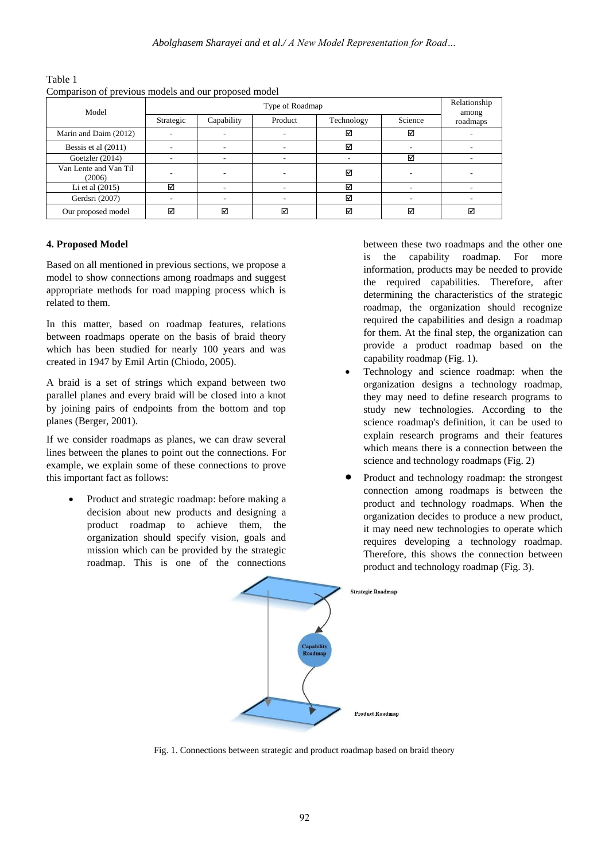| Comparison of previous models and our proposed model |           |                       |         |            |         |          |
|------------------------------------------------------|-----------|-----------------------|---------|------------|---------|----------|
| Model                                                |           | Relationship<br>among |         |            |         |          |
|                                                      | Strategic | Capability            | Product | Technology | Science | roadmaps |
| Marin and Daim (2012)                                |           |                       |         | ☑          | ☑       |          |
| Bessis et al (2011)                                  |           |                       |         | ☑          |         |          |
| Goetzler (2014)                                      |           |                       |         | ۰          | ☑       |          |
| Van Lente and Van Til<br>(2006)                      |           |                       |         | ☑          |         |          |
| Li et al $(2015)$                                    | ☑         |                       |         | ☑          |         |          |
| Gerdsri (2007)                                       |           |                       |         | ☑          |         |          |
| Our proposed model                                   | ☑         | ☑                     | ☑       | ☑          | ☑       | ☑        |

Table 1 Comparison of previous models and our proposed model

# **4. Proposed Model**

Based on all mentioned in previous sections, we propose a model to show connections among roadmaps and suggest appropriate methods for road mapping process which is related to them.

In this matter, based on roadmap features, relations between roadmaps operate on the basis of braid theory which has been studied for nearly 100 years and was created in 1947 by Emil Artin (Chiodo, 2005).

A braid is a set of strings which expand between two parallel planes and every braid will be closed into a knot by joining pairs of endpoints from the bottom and top planes (Berger, 2001).

If we consider roadmaps as planes, we can draw several lines between the planes to point out the connections. For example, we explain some of these connections to prove this important fact as follows:

 Product and strategic roadmap: before making a decision about new products and designing a product roadmap to achieve them, the organization should specify vision, goals and mission which can be provided by the strategic roadmap. This is one of the connections

between these two roadmaps and the other one is the capability roadmap. For more information, products may be needed to provide the required capabilities. Therefore, after determining the characteristics of the strategic roadmap, the organization should recognize required the capabilities and design a roadmap for them. At the final step, the organization can provide a product roadmap based on the capability roadmap (Fig. 1).

- Technology and science roadmap: when the organization designs a technology roadmap, they may need to define research programs to study new technologies. According to the science roadmap's definition, it can be used to explain research programs and their features which means there is a connection between the science and technology roadmaps (Fig. 2)
- Product and technology roadmap: the strongest connection among roadmaps is between the product and technology roadmaps. When the organization decides to produce a new product, it may need new technologies to operate which requires developing a technology roadmap. Therefore, this shows the connection between product and technology roadmap (Fig. 3).



Fig. 1. Connections between strategic and product roadmap based on braid theory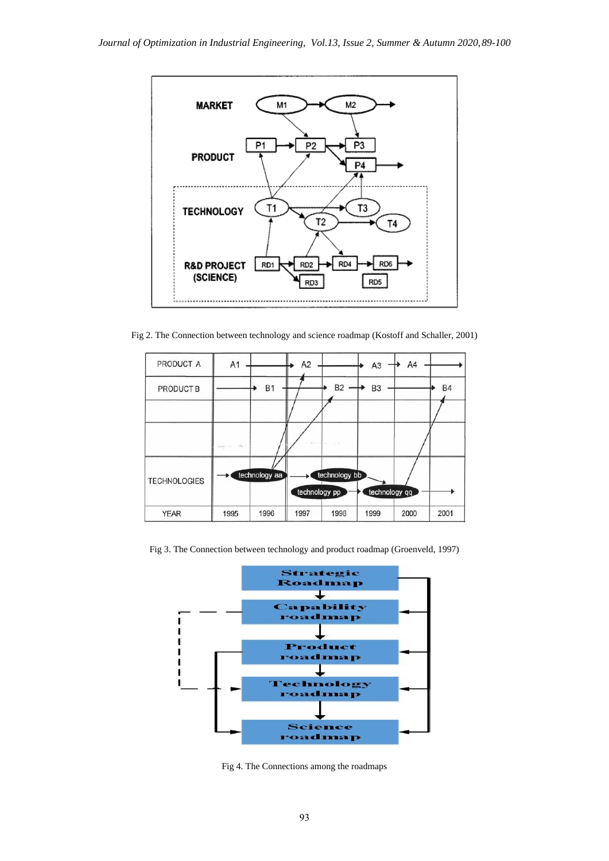

Fig 2. The Connection between technology and science roadmap (Kostoff and Schaller, 2001)



Fig 3. The Connection between technology and product roadmap (Groenveld, 1997)



Fig 4. The Connections among the roadmaps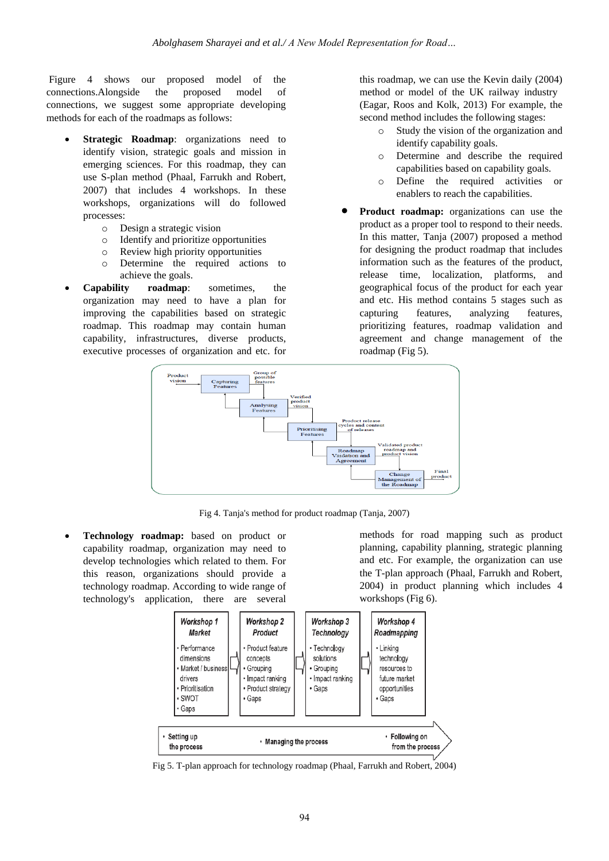Figure 4 shows our proposed model of the connections.Alongside the proposed model of connections, we suggest some appropriate developing methods for each of the roadmaps as follows:

- **Strategic Roadmap**: organizations need to identify vision, strategic goals and mission in emerging sciences. For this roadmap, they can use S-plan method (Phaal, Farrukh and Robert, 2007) that includes 4 workshops. In these workshops, organizations will do followed processes:
	- o Design a strategic vision
	- o Identify and prioritize opportunities
	- o Review high priority opportunities
	- o Determine the required actions to achieve the goals.
- **Capability roadmap**: sometimes, the organization may need to have a plan for improving the capabilities based on strategic roadmap. This roadmap may contain human capability, infrastructures, diverse products, executive processes of organization and etc. for

this roadmap, we can use the Kevin daily (2004) method or model of the UK railway industry (Eagar, Roos and Kolk, 2013) For example, the second method includes the following stages:

- o Study the vision of the organization and identify capability goals.
- o Determine and describe the required capabilities based on capability goals.
- o Define the required activities or enablers to reach the capabilities.
- **Product roadmap:** organizations can use the product as a proper tool to respond to their needs. In this matter, Tanja (2007) proposed a method for designing the product roadmap that includes information such as the features of the product, release time, localization, platforms, and geographical focus of the product for each year and etc. His method contains 5 stages such as capturing features, analyzing features, prioritizing features, roadmap validation and agreement and change management of the roadmap (Fig 5).



Fig 4. Tanja's method for product roadmap (Tanja, 2007)

 **Technology roadmap:** based on product or capability roadmap, organization may need to develop technologies which related to them. For this reason, organizations should provide a technology roadmap. According to wide range of technology's application, there are several

methods for road mapping such as product planning, capability planning, strategic planning and etc. For example, the organization can use the T-plan approach (Phaal, Farrukh and Robert, 2004) in product planning which includes 4 workshops (Fig 6).



Fig 5. T-plan approach for technology roadmap (Phaal, Farrukh and Robert, 2004)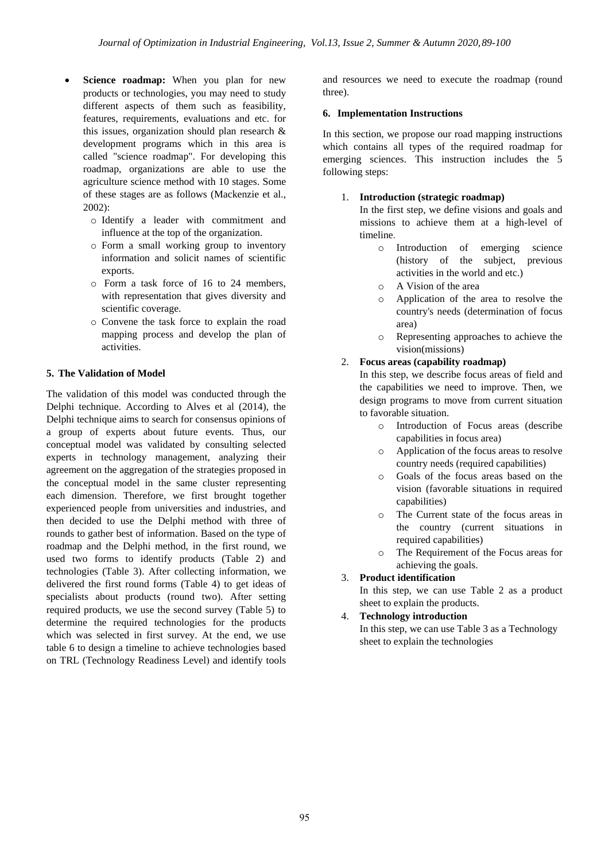- **Science roadmap:** When you plan for new products or technologies, you may need to study different aspects of them such as feasibility, features, requirements, evaluations and etc. for this issues, organization should plan research & development programs which in this area is called "science roadmap". For developing this roadmap, organizations are able to use the agriculture science method with 10 stages. Some of these stages are as follows (Mackenzie et al., 2002):
	- o Identify a leader with commitment and influence at the top of the organization.
	- o Form a small working group to inventory information and solicit names of scientific exports.
	- o Form a task force of 16 to 24 members, with representation that gives diversity and scientific coverage.
	- o Convene the task force to explain the road mapping process and develop the plan of activities.

## **5. The Validation of Model**

The validation of this model was conducted through the Delphi technique. According to Alves et al (2014), the Delphi technique aims to search for consensus opinions of a group of experts about future events. Thus, our conceptual model was validated by consulting selected experts in technology management, analyzing their agreement on the aggregation of the strategies proposed in the conceptual model in the same cluster representing each dimension. Therefore, we first brought together experienced people from universities and industries, and then decided to use the Delphi method with three of rounds to gather best of information. Based on the type of roadmap and the Delphi method, in the first round, we used two forms to identify products (Table 2) and technologies (Table 3). After collecting information, we delivered the first round forms (Table 4) to get ideas of specialists about products (round two). After setting required products, we use the second survey (Table 5) to determine the required technologies for the products which was selected in first survey. At the end, we use table 6 to design a timeline to achieve technologies based on TRL (Technology Readiness Level) and identify tools

and resources we need to execute the roadmap (round three).

#### **6. Implementation Instructions**

In this section, we propose our road mapping instructions which contains all types of the required roadmap for emerging sciences. This instruction includes the 5 following steps:

## 1. **Introduction (strategic roadmap)**

In the first step, we define visions and goals and missions to achieve them at a high-level of timeline.

- o Introduction of emerging science (history of the subject, previous activities in the world and etc.)
- o A Vision of the area
- o Application of the area to resolve the country's needs (determination of focus area)
- o Representing approaches to achieve the vision(missions)

#### 2. **Focus areas (capability roadmap)**

In this step, we describe focus areas of field and the capabilities we need to improve. Then, we design programs to move from current situation to favorable situation.

- o Introduction of Focus areas (describe capabilities in focus area)
- o Application of the focus areas to resolve country needs (required capabilities)
- o Goals of the focus areas based on the vision (favorable situations in required capabilities)
- o The Current state of the focus areas in the country (current situations in required capabilities)
- o The Requirement of the Focus areas for achieving the goals.
- 3. **Product identification**

In this step, we can use Table 2 as a product sheet to explain the products.

4. **Technology introduction**

In this step, we can use Table 3 as a Technology sheet to explain the technologies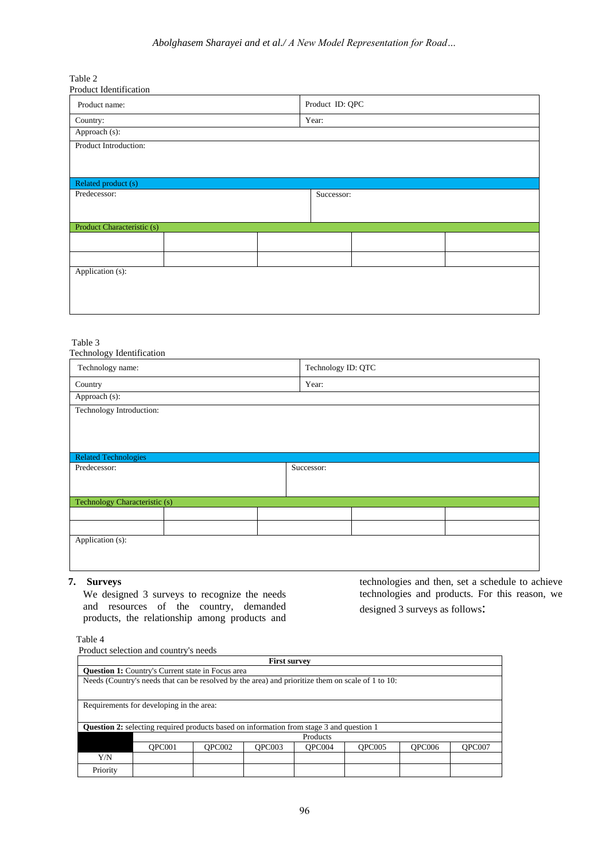#### *Abolghasem Sharayei and et al./ A New Model Representation for Road…*

Table 2

| Product Identification     |  |  |                 |  |  |  |  |  |  |
|----------------------------|--|--|-----------------|--|--|--|--|--|--|
| Product name:              |  |  | Product ID: QPC |  |  |  |  |  |  |
| Country:                   |  |  | Year:           |  |  |  |  |  |  |
| Approach (s):              |  |  |                 |  |  |  |  |  |  |
| Product Introduction:      |  |  |                 |  |  |  |  |  |  |
|                            |  |  |                 |  |  |  |  |  |  |
|                            |  |  |                 |  |  |  |  |  |  |
| Related product (s)        |  |  |                 |  |  |  |  |  |  |
| Predecessor:               |  |  | Successor:      |  |  |  |  |  |  |
|                            |  |  |                 |  |  |  |  |  |  |
| Product Characteristic (s) |  |  |                 |  |  |  |  |  |  |
|                            |  |  |                 |  |  |  |  |  |  |
|                            |  |  |                 |  |  |  |  |  |  |
|                            |  |  |                 |  |  |  |  |  |  |
| Application (s):           |  |  |                 |  |  |  |  |  |  |
|                            |  |  |                 |  |  |  |  |  |  |
|                            |  |  |                 |  |  |  |  |  |  |
|                            |  |  |                 |  |  |  |  |  |  |

Table 3

| Year:<br>Successor: | Technology name:              | Technology ID: QTC |  |  |  |  |  |
|---------------------|-------------------------------|--------------------|--|--|--|--|--|
|                     | Country                       |                    |  |  |  |  |  |
|                     | Approach (s):                 |                    |  |  |  |  |  |
|                     | Technology Introduction:      |                    |  |  |  |  |  |
|                     |                               |                    |  |  |  |  |  |
|                     | <b>Related Technologies</b>   |                    |  |  |  |  |  |
|                     | Predecessor:                  |                    |  |  |  |  |  |
|                     |                               |                    |  |  |  |  |  |
|                     |                               |                    |  |  |  |  |  |
|                     | Technology Characteristic (s) |                    |  |  |  |  |  |
|                     |                               |                    |  |  |  |  |  |
|                     |                               |                    |  |  |  |  |  |
|                     |                               |                    |  |  |  |  |  |

## **7. Surveys**

We designed 3 surveys to recognize the needs and resources of the country, demanded products, the relationship among products and

technologies and then, set a schedule to achieve technologies and products. For this reason, we designed 3 surveys as follows:

Table 4

Product selection and country's needs

| <b>First survey</b>                                                                               |                                                                    |  |  |  |  |  |  |  |  |
|---------------------------------------------------------------------------------------------------|--------------------------------------------------------------------|--|--|--|--|--|--|--|--|
| <b>Question 1:</b> Country's Current state in Focus area                                          |                                                                    |  |  |  |  |  |  |  |  |
| Needs (Country's needs that can be resolved by the area) and prioritize them on scale of 1 to 10: |                                                                    |  |  |  |  |  |  |  |  |
|                                                                                                   |                                                                    |  |  |  |  |  |  |  |  |
|                                                                                                   | Requirements for developing in the area:                           |  |  |  |  |  |  |  |  |
|                                                                                                   |                                                                    |  |  |  |  |  |  |  |  |
| <b>Question 2:</b> selecting required products based on information from stage 3 and question 1   |                                                                    |  |  |  |  |  |  |  |  |
|                                                                                                   | Products                                                           |  |  |  |  |  |  |  |  |
|                                                                                                   | OPC002<br>OPC006<br>OPC007<br>OPC001<br>OPC003<br>OPC004<br>OPC005 |  |  |  |  |  |  |  |  |
| Y/N                                                                                               |                                                                    |  |  |  |  |  |  |  |  |
| Priority                                                                                          |                                                                    |  |  |  |  |  |  |  |  |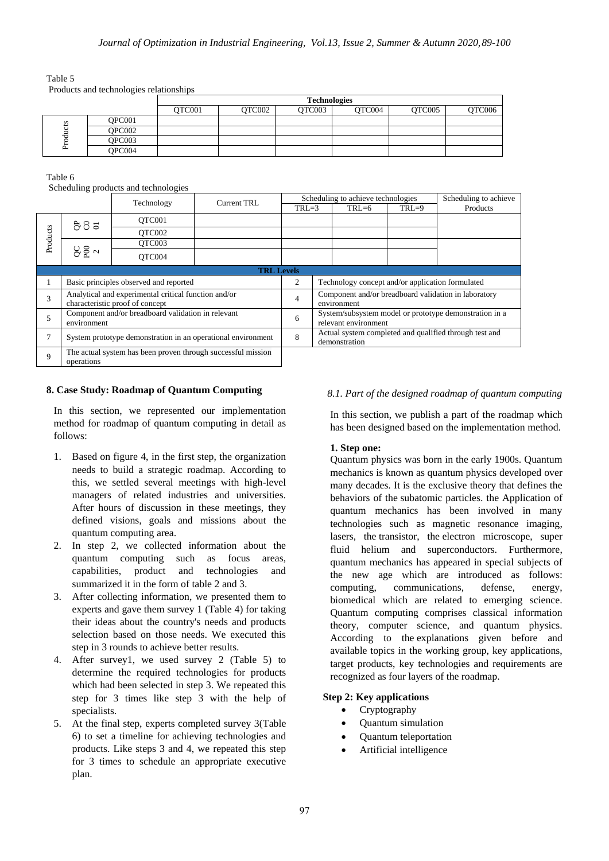Table 5

Products and technologies relationships

|        |        | <b>Technologies</b> |        |        |        |        |        |  |  |  |
|--------|--------|---------------------|--------|--------|--------|--------|--------|--|--|--|
|        |        | OTC001              | OTC002 | OTC003 | OTC004 | OTC005 | QTC006 |  |  |  |
| S<br>⊶ | OPC001 |                     |        |        |        |        |        |  |  |  |
|        | OPC002 |                     |        |        |        |        |        |  |  |  |
|        | OPC003 |                     |        |        |        |        |        |  |  |  |
|        | OPC004 |                     |        |        |        |        |        |  |  |  |

Table 6

Scheduling products and technologies

|             | ັ                                                                                       | Technology | <b>Current TRL</b> |                |                                                                                | Scheduling to achieve technologies |         | Scheduling to achieve                                  |
|-------------|-----------------------------------------------------------------------------------------|------------|--------------------|----------------|--------------------------------------------------------------------------------|------------------------------------|---------|--------------------------------------------------------|
|             |                                                                                         |            |                    | $TRL=3$        |                                                                                | $TRL=6$                            | $TRL=9$ | Products                                               |
|             | ರಿರಿ ಕ                                                                                  | OTC001     |                    |                |                                                                                |                                    |         |                                                        |
| Products    |                                                                                         | OTC002     |                    |                |                                                                                |                                    |         |                                                        |
|             |                                                                                         | OTC003     |                    |                |                                                                                |                                    |         |                                                        |
|             | $82^{\circ}$                                                                            | OTC004     |                    |                |                                                                                |                                    |         |                                                        |
|             | <b>TRL Levels</b>                                                                       |            |                    |                |                                                                                |                                    |         |                                                        |
|             | Basic principles observed and reported                                                  |            |                    | 2              | Technology concept and/or application formulated                               |                                    |         |                                                        |
| 3           | Analytical and experimental critical function and/or<br>characteristic proof of concept |            |                    | $\overline{4}$ | Component and/or breadboard validation in laboratory<br>environment            |                                    |         |                                                        |
| 5           | Component and/or breadboard validation in relevant<br>environment                       |            |                    | 6              | System/subsystem model or prototype demonstration in a<br>relevant environment |                                    |         |                                                        |
| 7           | System prototype demonstration in an operational environment                            |            |                    | 8              |                                                                                | demonstration                      |         | Actual system completed and qualified through test and |
| $\mathbf Q$ | The actual system has been proven through successful mission<br>operations              |            |                    |                |                                                                                |                                    |         |                                                        |

#### **8. Case Study: Roadmap of Quantum Computing**

In this section, we represented our implementation method for roadmap of quantum computing in detail as follows:

- 1. Based on figure 4, in the first step, the organization needs to build a strategic roadmap. According to this, we settled several meetings with high-level managers of related industries and universities. After hours of discussion in these meetings, they defined visions, goals and missions about the quantum computing area.
- 2. In step 2, we collected information about the quantum computing such as focus areas, capabilities, product and technologies and summarized it in the form of table 2 and 3.
- 3. After collecting information, we presented them to experts and gave them survey 1 (Table 4) for taking their ideas about the country's needs and products selection based on those needs. We executed this step in 3 rounds to achieve better results.
- 4. After survey1, we used survey 2 (Table 5) to determine the required technologies for products which had been selected in step 3. We repeated this step for 3 times like step 3 with the help of specialists.
- 5. At the final step, experts completed survey 3(Table 6) to set a timeline for achieving technologies and products. Like steps 3 and 4, we repeated this step for 3 times to schedule an appropriate executive plan.

## *8.1. Part of the designed roadmap of quantum computing*

In this section, we publish a part of the roadmap which has been designed based on the implementation method.

## **1. Step one:**

Quantum physics was born in the early 1900s. Quantum mechanics is known as quantum physics developed over many decades. It is the exclusive theory that defines the behaviors of the [subatomic particles.](https://en.wikipedia.org/wiki/Subatomic_particle) the Application of quantum mechanics has been involved in many technologies such as [magnetic resonance imaging,](https://en.wikipedia.org/wiki/Magnetic_Resonance_Imaging) [lasers](https://en.wikipedia.org/wiki/Laser), the [transistor,](https://en.wikipedia.org/wiki/Transistor) the [electron microscope,](https://en.wikipedia.org/wiki/Electron_microscope) super fluid helium and superconductors. Furthermore, quantum mechanics has appeared in special subjects of the new age which are introduced as follows: computing, communications, defense, energy, biomedical which are related to emerging science. Quantum computing comprises classical information theory, computer science, and quantum physics. According to the explanations given before and available topics in the working group, key applications, target products, key technologies and requirements are recognized as four layers of the roadmap.

## **Step 2: Key applications**

- Cryptography
- Quantum simulation
- Quantum teleportation
- Artificial intelligence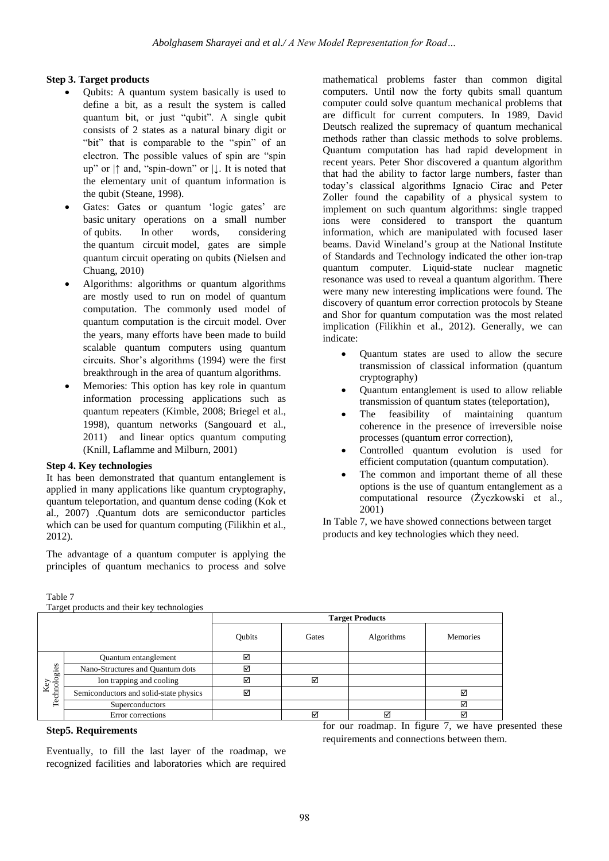# **Step 3. Target products**

- Qubits: A quantum system basically is used to define a bit, as a result the system is called quantum bit, or just "qubit". A single qubit consists of 2 states as a natural binary digit or "bit" that is comparable to the "spin" of an electron. The possible values of spin are "spin up" or  $|\uparrow$  and, "spin-down" or  $|\downarrow$ . It is noted that the elementary unit of quantum information is the qubit (Steane, 1998).
- Gates: Gates or quantum 'logic gates' are basic unitary operations on a small number of [qubits.](https://en.wikipedia.org/wiki/Qubit) In other words, considering the [quantum circuit](https://en.wikipedia.org/wiki/Quantum_circuit) model, gates are simple [quantum circuit](https://en.wikipedia.org/wiki/Quantum_circuit) operating on [qubits](https://en.wikipedia.org/wiki/Qubit) (Nielsen and Chuang, 2010)
- Algorithms: algorithms or quantum algorithms are mostly used to run on model of quantum computation. The commonly used model of quantum computation is the circuit model. Over the years, many efforts have been made to build scalable quantum computers using quantum circuits. Shor's algorithms (1994) were the first breakthrough in the area of quantum algorithms.
- Memories: This option has key role in quantum information processing applications such as quantum repeaters (Kimble, 2008; Briegel et al., 1998), quantum networks (Sangouard et al., 2011) and linear optics quantum computing (Knill, Laflamme and Milburn, 2001)

## **Step 4. Key technologies**

It has been demonstrated that quantum entanglement is applied in many applications like quantum cryptography, quantum teleportation, and quantum dense coding (Kok et al., 2007) .Quantum dots are semiconductor particles which can be used for quantum computing (Filikhin et al., 2012).

The advantage of a quantum computer is applying the principles of quantum mechanics to process and solve

Table 7

Target products and their key technologies

|                     |                                        | <b>Target Products</b> |       |            |                 |  |  |  |  |
|---------------------|----------------------------------------|------------------------|-------|------------|-----------------|--|--|--|--|
|                     |                                        | Qubits                 | Gates | Algorithms | <b>Memories</b> |  |  |  |  |
|                     | Quantum entanglement                   | ☑                      |       |            |                 |  |  |  |  |
|                     | Nano-Structures and Quantum dots       | ☑                      |       |            |                 |  |  |  |  |
|                     | Ion trapping and cooling               | ☑                      | ☑     |            |                 |  |  |  |  |
| Key<br>Technologies | Semiconductors and solid-state physics | ☑                      |       |            | ☑               |  |  |  |  |
|                     | <b>Superconductors</b>                 |                        |       |            | ☑               |  |  |  |  |
|                     | Error corrections                      |                        | ⊠     | ☑          | ☑               |  |  |  |  |

#### **Step5. Requirements**

Eventually, to fill the last layer of the roadmap, we recognized facilities and laboratories which are required for our roadmap. In figure 7, we have presented these requirements and connections between them.

mathematical problems faster than common digital computers. Until now the forty qubits small quantum computer could solve quantum mechanical problems that are difficult for current computers. In 1989, David Deutsch realized the supremacy of quantum mechanical methods rather than classic methods to solve problems. Quantum computation has had rapid development in recent years. Peter Shor discovered a quantum algorithm that had the ability to factor large numbers, faster than today's classical algorithms Ignacio Cirac and Peter Zoller found the capability of a physical system to implement on such quantum algorithms: single trapped ions were considered to transport the quantum information, which are manipulated with focused laser beams. David Wineland's group at the National Institute of Standards and Technology indicated the other ion-trap quantum computer. Liquid-state nuclear magnetic resonance was used to reveal a quantum algorithm. There were many new interesting implications were found. The discovery of quantum error correction protocols by Steane and Shor for quantum computation was the most related implication (Filikhin et al., 2012). Generally, we can indicate:

- Quantum states are used to allow the secure transmission of classical information (quantum cryptography)
- Quantum entanglement is used to allow reliable transmission of quantum states (teleportation),
- The feasibility of maintaining quantum coherence in the presence of irreversible noise processes (quantum error correction),
- Controlled quantum evolution is used for efficient computation (quantum computation).
- The common and important theme of all these options is the use of quantum entanglement as a computational resource (Życzkowski et al., 2001)

In Table 7, we have showed connections between target products and key technologies which they need.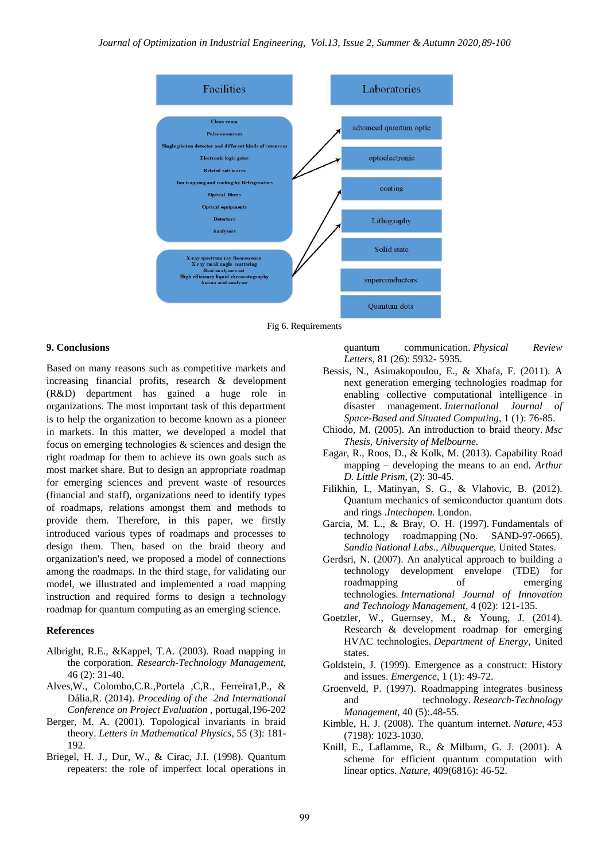

Fig 6. Requirements

#### **9. Conclusions**

Based on many reasons such as competitive markets and increasing financial profits, research & development (R&D) department has gained a huge role in organizations. The most important task of this department is to help the organization to become known as a pioneer in markets. In this matter, we developed a model that focus on emerging technologies & sciences and design the right roadmap for them to achieve its own goals such as most market share. But to design an appropriate roadmap for emerging sciences and prevent waste of resources (financial and staff), organizations need to identify types of roadmaps, relations amongst them and methods to provide them. Therefore, in this paper, we firstly introduced various types of roadmaps and processes to design them. Then, based on the braid theory and organization's need, we proposed a model of connections among the roadmaps. In the third stage, for validating our model, we illustrated and implemented a road mapping instruction and required forms to design a technology roadmap for quantum computing as an emerging science.

#### **References**

- Albright, R.E., &Kappel, T.A. (2003). Road mapping in the corporation*. Research-Technology Management*, 46 (2): 31-40.
- Alves,W., Colombo,C.R.,Portela ,C,R., Ferreira1,P., & Dália,R. (2014). *Proceding of the 2nd International Conference on Project Evaluation* , portugal,196-202
- Berger, M. A. (2001). Topological invariants in braid theory. *Letters in Mathematical Physics*, 55 (3): 181- 192.
- Briegel, H. J., Dur, W., & Cirac, J.I. (1998). Quantum repeaters: the role of imperfect local operations in

quantum communication. *Physical Review Letters*, 81 (26): 5932- 5935.

- Bessis, N., Asimakopoulou, E., & Xhafa, F. (2011). A next generation emerging technologies roadmap for enabling collective computational intelligence in disaster management. *International Journal of Space-Based and Situated Computing*, 1 (1): 76-85.
- Chiodo, M. (2005). An introduction to braid theory*. Msc Thesis, University of Melbourne*.
- Eagar, R., Roos, D., & Kolk, M. (2013). Capability Road mapping – developing the means to an end. *Arthur D. Little Prism*, (2): 30-45.
- Filikhin, I., Matinyan, S. G., & Vlahovic, B. (2012). Quantum mechanics of semiconductor quantum dots and rings .*Intechopen*. London.
- Garcia, M. L., & Bray, O. H. (1997). Fundamentals of technology roadmapping (No. SAND-97-0665). *Sandia National Labs., Albuquerque*, United States.
- Gerdsri, N. (2007). An analytical approach to building a technology development envelope (TDE) for roadmapping of emerging technologies. *International Journal of Innovation and Technology Management*, 4 (02): 121-135.
- Goetzler, W., Guernsey, M., & Young, J. (2014). Research & development roadmap for emerging HVAC technologies. *Department of Energy,* United states.
- Goldstein, J. (1999). Emergence as a construct: History and issues. *Emergence*, 1 (1): 49-72.
- Groenveld, P. (1997). Roadmapping integrates business and technology. *Research-Technology Management*, 40 (5):.48-55.
- Kimble, H. J. (2008). The quantum internet. *Nature*, 453 (7198): 1023-1030.
- Knill, E., Laflamme, R., & Milburn, G. J. (2001). A scheme for efficient quantum computation with linear optics*. Nature*, 409(6816): 46-52.